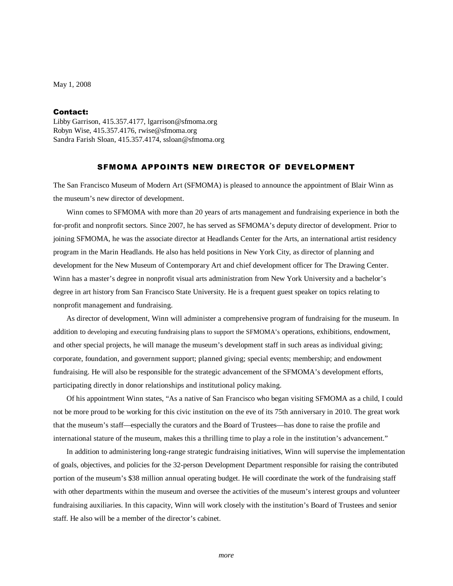May 1, 2008

## Contact:

Libby Garrison, 415.357.4177, lgarrison@sfmoma.org Robyn Wise, 415.357.4176, rwise@sfmoma.org Sandra Farish Sloan, 415.357.4174, ssloan@sfmoma.org

## SFMOMA APPOINTS NEW DIRECTOR OF DEVELOPMENT

The San Francisco Museum of Modern Art (SFMOMA) is pleased to announce the appointment of Blair Winn as the museum's new director of development.

 Winn comes to SFMOMA with more than 20 years of arts management and fundraising experience in both the for-profit and nonprofit sectors. Since 2007, he has served as SFMOMA's deputy director of development. Prior to joining SFMOMA, he was the associate director at Headlands Center for the Arts, an international artist residency program in the Marin Headlands. He also has held positions in New York City, as director of planning and development for the New Museum of Contemporary Art and chief development officer for The Drawing Center. Winn has a master's degree in nonprofit visual arts administration from New York University and a bachelor's degree in art history from San Francisco State University. He is a frequent guest speaker on topics relating to nonprofit management and fundraising.

 As director of development, Winn will administer a comprehensive program of fundraising for the museum. In addition to developing and executing fundraising plans to support the SFMOMA's operations, exhibitions, endowment, and other special projects, he will manage the museum's development staff in such areas as individual giving; corporate, foundation, and government support; planned giving; special events; membership; and endowment fundraising. He will also be responsible for the strategic advancement of the SFMOMA's development efforts, participating directly in donor relationships and institutional policy making.

 Of his appointment Winn states, "As a native of San Francisco who began visiting SFMOMA as a child, I could not be more proud to be working for this civic institution on the eve of its 75th anniversary in 2010. The great work that the museum's staff—especially the curators and the Board of Trustees—has done to raise the profile and international stature of the museum, makes this a thrilling time to play a role in the institution's advancement."

In addition to administering long-range strategic fundraising initiatives, Winn will supervise the implementation of goals, objectives, and policies for the 32-person Development Department responsible for raising the contributed portion of the museum's \$38 million annual operating budget. He will coordinate the work of the fundraising staff with other departments within the museum and oversee the activities of the museum's interest groups and volunteer fundraising auxiliaries. In this capacity, Winn will work closely with the institution's Board of Trustees and senior staff. He also will be a member of the director's cabinet.